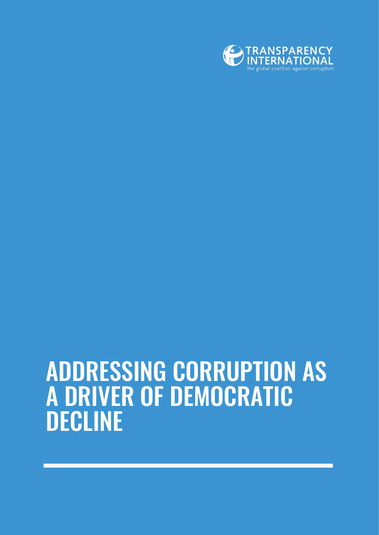

## ADDRESSING CORRUPTION AS A DRIVER OF DEMOCRATIC DECLINE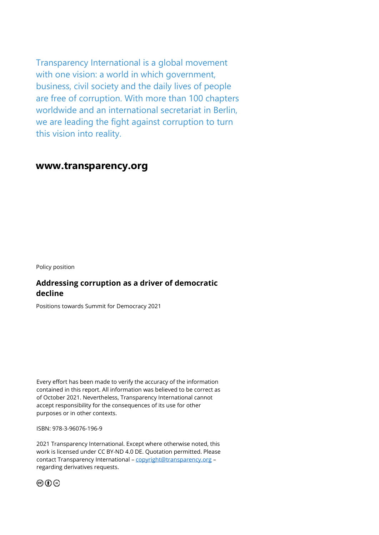Transparency International is a global movement with one vision: a world in which government, business, civil society and the daily lives of people are free of corruption. With more than 100 chapters worldwide and an international secretariat in Berlin, we are leading the fight against corruption to turn this vision into reality.

## **www.transparency.org**

Policy position

## **Addressing corruption as a driver of democratic decline**

Positions towards Summit for Democracy 2021

Every effort has been made to verify the accuracy of the information contained in this report. All information was believed to be correct as of October 2021. Nevertheless, Transparency International cannot accept responsibility for the consequences of its use for other purposes or in other contexts.

ISBN: 978-3-96076-196-9

2021 Transparency International. Except where otherwise noted, this work is licensed under CC BY-ND 4.0 DE. Quotation permitted. Please contact Transparency International - [copyright@transparency.org](mailto:copyright@transparency.org) regarding derivatives requests.

෨ඁ෬෧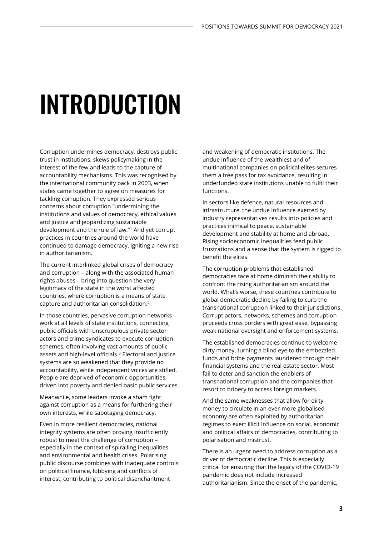# INTRODUCTION

Corruption undermines democracy, destroys public trust in institutions, skews policymaking in the interest of the few and leads to the capture of accountability mechanisms. This was recognised by the international community back in 2003, when states came together to agree on measures for tackling corruption. They expressed serious concerns about corruption "undermining the institutions and values of democracy, ethical values and justice and jeopardizing sustainable development and the rule of law."<sup>1</sup> And yet corrupt practices in countries around the world have continued to damage democracy, igniting a new rise in authoritarianism.

The current interlinked global crises of democracy and corruption – along with the associated human rights abuses – bring into question the very legitimacy of the state in the worst affected countries, where corruption is a means of state capture and authoritarian consolidation.<sup>2</sup>

In those countries, pervasive corruption networks work at all levels of state institutions, connecting public officials with unscrupulous private sector actors and crime syndicates to execute corruption schemes, often involving vast amounts of public assets and high-level officials.<sup>3</sup> Electoral and justice systems are so weakened that they provide no accountability, while independent voices are stifled. People are deprived of economic opportunities, driven into poverty and denied basic public services.

Meanwhile, some leaders invoke a sham fight against corruption as a means for furthering their own interests, while sabotaging democracy.

Even in more resilient democracies, national integrity systems are often proving insufficiently robust to meet the challenge of corruption – especially in the context of spiralling inequalities and environmental and health crises. Polarising public discourse combines with inadequate controls on political finance, lobbying and conflicts of interest, contributing to political disenchantment

and weakening of democratic institutions. The undue influence of the wealthiest and of multinational companies on political elites secures them a free pass for tax avoidance, resulting in underfunded state institutions unable to fulfil their functions.

In sectors like defence, natural resources and infrastructure, the undue influence exerted by industry representatives results into policies and practices inimical to peace, sustainable development and stability at home and abroad. Rising socioeconomic inequalities feed public frustrations and a sense that the system is rigged to benefit the elites.

The corruption problems that established democracies face at home diminish their ability to confront the rising authoritarianism around the world. What's worse, these countries contribute to global democratic decline by failing to curb the transnational corruption linked to their jurisdictions. Corrupt actors, networks, schemes and corruption proceeds cross borders with great ease, bypassing weak national oversight and enforcement systems.

The established democracies continue to welcome dirty money, turning a blind eye to the embezzled funds and bribe payments laundered through their financial systems and the real estate sector. Most fail to deter and sanction the enablers of transnational corruption and the companies that resort to bribery to access foreign markets.

And the same weaknesses that allow for dirty money to circulate in an ever-more globalised economy are often exploited by authoritarian regimes to exert illicit influence on social, economic and political affairs of democracies, contributing to polarisation and mistrust.

There is an urgent need to address corruption as a driver of democratic decline. This is especially critical for ensuring that the legacy of the COVID-19 pandemic does not include increased authoritarianism. Since the onset of the pandemic,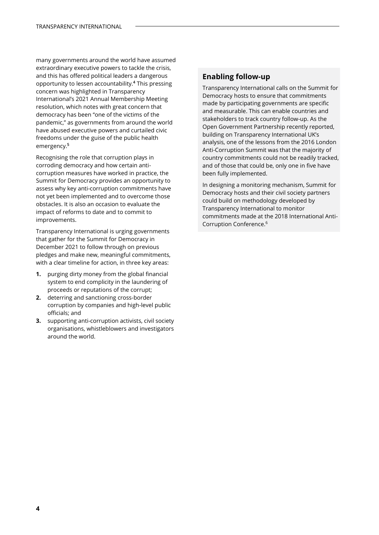many governments around the world have assumed extraordinary executive powers to tackle the crisis, and this has offered political leaders a dangerous opportunity to lessen accountability.**<sup>4</sup>** This pressing concern was highlighted in Transparency International's 2021 Annual Membership Meeting resolution, which notes with great concern that democracy has been "one of the victims of the pandemic," as governments from around the world have abused executive powers and curtailed civic freedoms under the guise of the public health emergency.**<sup>5</sup>**

Recognising the role that corruption plays in corroding democracy and how certain anticorruption measures have worked in practice, the Summit for Democracy provides an opportunity to assess why key anti-corruption commitments have not yet been implemented and to overcome those obstacles. It is also an occasion to evaluate the impact of reforms to date and to commit to improvements.

Transparency International is urging governments that gather for the Summit for Democracy in December 2021 to follow through on previous pledges and make new, meaningful commitments, with a clear timeline for action, in three key areas:

- **1.** purging dirty money from the global financial system to end complicity in the laundering of proceeds or reputations of the corrupt;
- **2.** deterring and sanctioning cross-border corruption by companies and high-level public officials; and
- **3.** supporting anti-corruption activists, civil society organisations, whistleblowers and investigators around the world.

## **Enabling follow-up**

Transparency International calls on the Summit for Democracy hosts to ensure that commitments made by participating governments are specific and measurable. This can enable countries and stakeholders to track country follow-up. As the Open Government Partnership recently reported, building on Transparency International UK's analysis, one of the lessons from the 2016 London Anti-Corruption Summit was that the majority of country commitments could not be readily tracked, and of those that could be, only one in five have been fully implemented.

In designing a monitoring mechanism, Summit for Democracy hosts and their civil society partners could build on methodology developed by Transparency International to monitor commitments made at the 2018 International Anti-Corruption Conference.6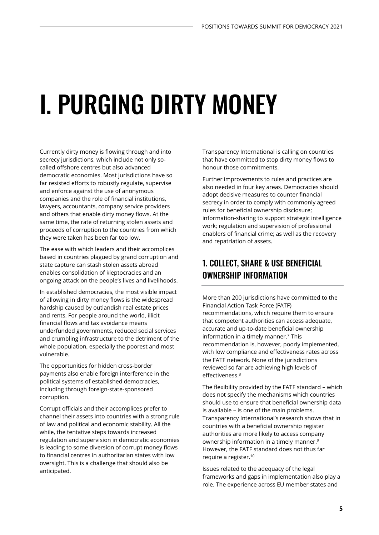# I. PURGING DIRTY MONEY

Currently dirty money is flowing through and into secrecy jurisdictions, which include not only socalled offshore centres but also advanced democratic economies. Most jurisdictions have so far resisted efforts to robustly regulate, supervise and enforce against the use of anonymous companies and the role of financial institutions, lawyers, accountants, company service providers and others that enable dirty money flows. At the same time, the rate of returning stolen assets and proceeds of corruption to the countries from which they were taken has been far too low.

The ease with which leaders and their accomplices based in countries plagued by grand corruption and state capture can stash stolen assets abroad enables consolidation of kleptocracies and an ongoing attack on the people's lives and livelihoods.

In established democracies, the most visible impact of allowing in dirty money flows is the widespread hardship caused by outlandish real estate prices and rents. For people around the world, illicit financial flows and tax avoidance means underfunded governments, reduced social services and crumbling infrastructure to the detriment of the whole population, especially the poorest and most vulnerable.

The opportunities for hidden cross-border payments also enable foreign interference in the political systems of established democracies, including through foreign-state-sponsored corruption.

Corrupt officials and their accomplices prefer to channel their assets into countries with a strong rule of law and political and economic stability. All the while, the tentative steps towards increased regulation and supervision in democratic economies is leading to some diversion of corrupt money flows to financial centres in authoritarian states with low oversight. This is a challenge that should also be anticipated.

Transparency International is calling on countries that have committed to stop dirty money flows to honour those commitments.

Further improvements to rules and practices are also needed in four key areas. Democracies should adopt decisive measures to counter financial secrecy in order to comply with commonly agreed rules for beneficial ownership disclosure; information-sharing to support strategic intelligence work; regulation and supervision of professional enablers of financial crime; as well as the recovery and repatriation of assets.

## 1. COLLECT, SHARE & USE BENEFICIAL OWNERSHIP INFORMATION

More than 200 jurisdictions have committed to the Financial Action Task Force (FATF) recommendations, which require them to ensure that competent authorities can access adequate, accurate and up-to-date beneficial ownership information in a timely manner.<sup>7</sup> This recommendation is, however, poorly implemented, with low compliance and effectiveness rates across the FATF network. None of the jurisdictions reviewed so far are achieving high levels of effectiveness.<sup>8</sup>

The flexibility provided by the FATF standard – which does not specify the mechanisms which countries should use to ensure that beneficial ownership data is available – is one of the main problems. Transparency International's research shows that in countries with a beneficial ownership register authorities are more likely to access company ownership information in a timely manner.<sup>9</sup> However, the FATF standard does not thus far require a register.<sup>10</sup>

Issues related to the adequacy of the legal frameworks and gaps in implementation also play a role. The experience across EU member states and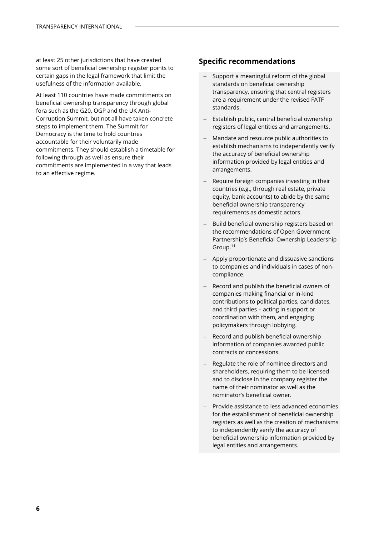at least 25 other jurisdictions that have created some sort of beneficial ownership register points to certain gaps in the legal framework that limit the usefulness of the information available.

At least 110 countries have made commitments on beneficial ownership transparency through global fora such as the G20, OGP and the UK Anti-Corruption Summit, but not all have taken concrete steps to implement them. The Summit for Democracy is the time to hold countries accountable for their voluntarily made commitments. They should establish a timetable for following through as well as ensure their commitments are implemented in a way that leads to an effective regime.

- Support a meaningful reform of the global standards on beneficial ownership transparency, ensuring that central registers are a requirement under the revised FATF standards.
- + Establish public, central beneficial ownership registers of legal entities and arrangements.
- + Mandate and resource public authorities to establish mechanisms to independently verify the accuracy of beneficial ownership information provided by legal entities and arrangements.
- + Require foreign companies investing in their countries (e.g., through real estate, private equity, bank accounts) to abide by the same beneficial ownership transparency requirements as domestic actors.
- + Build beneficial ownership registers based on the recommendations of Open Government Partnership's Beneficial Ownership Leadership Group. **11**
- + Apply proportionate and dissuasive sanctions to companies and individuals in cases of noncompliance.
- + Record and publish the beneficial owners of companies making financial or in-kind contributions to political parties, candidates, and third parties – acting in support or coordination with them, and engaging policymakers through lobbying.
- + Record and publish beneficial ownership information of companies awarded public contracts or concessions.
- + Regulate the role of nominee directors and shareholders, requiring them to be licensed and to disclose in the company register the name of their nominator as well as the nominator's beneficial owner.
- + Provide assistance to less advanced economies for the establishment of beneficial ownership registers as well as the creation of mechanisms to independently verify the accuracy of beneficial ownership information provided by legal entities and arrangements.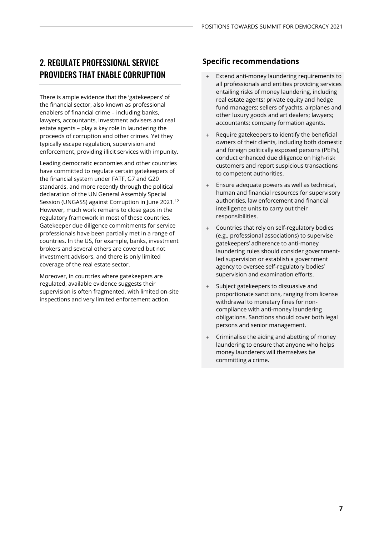## 2. REGULATE PROFESSIONAL SERVICE PROVIDERS THAT ENABLE CORRUPTION

There is ample evidence that the 'gatekeepers' of the financial sector, also known as professional enablers of financial crime – including banks, lawyers, accountants, investment advisers and real estate agents – play a key role in laundering the proceeds of corruption and other crimes. Yet they typically escape regulation, supervision and enforcement, providing illicit services with impunity.

Leading democratic economies and other countries have committed to regulate certain gatekeepers of the financial system under FATF, G7 and G20 standards, and more recently through the political declaration of the UN General Assembly Special Session (UNGASS) against Corruption in June 2021.<sup>12</sup> However, much work remains to close gaps in the regulatory framework in most of these countries. Gatekeeper due diligence commitments for service professionals have been partially met in a range of countries. In the US, for example, banks, investment brokers and several others are covered but not investment advisors, and there is only limited coverage of the real estate sector.

Moreover, in countries where gatekeepers are regulated, available evidence suggests their supervision is often fragmented, with limited on-site inspections and very limited enforcement action.

- Extend anti-money laundering requirements to all professionals and entities providing services entailing risks of money laundering, including real estate agents; private equity and hedge fund managers; sellers of yachts, airplanes and other luxury goods and art dealers; lawyers; accountants; company formation agents.
- Require gatekeepers to identify the beneficial owners of their clients, including both domestic and foreign politically exposed persons (PEPs), conduct enhanced due diligence on high-risk customers and report suspicious transactions to competent authorities.
- Ensure adequate powers as well as technical, human and financial resources for supervisory authorities, law enforcement and financial intelligence units to carry out their responsibilities.
- Countries that rely on self-regulatory bodies (e.g., professional associations) to supervise gatekeepers' adherence to anti-money laundering rules should consider governmentled supervision or establish a government agency to oversee self-regulatory bodies' supervision and examination efforts.
- Subject gatekeepers to dissuasive and proportionate sanctions, ranging from license withdrawal to monetary fines for noncompliance with anti-money laundering obligations. Sanctions should cover both legal persons and senior management.
- Criminalise the aiding and abetting of money laundering to ensure that anyone who helps money launderers will themselves be committing a crime.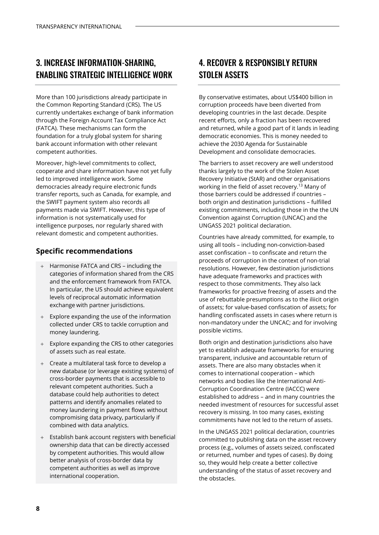## 3. INCREASE INFORMATION-SHARING, ENABLING STRATEGIC INTELLIGENCE WORK

More than 100 jurisdictions already participate in the Common Reporting Standard (CRS). The US currently undertakes exchange of bank information through the Foreign Account Tax Compliance Act (FATCA). These mechanisms can form the foundation for a truly global system for sharing bank account information with other relevant competent authorities.

Moreover, high-level commitments to collect, cooperate and share information have not yet fully led to improved intelligence work. Some democracies already require electronic funds transfer reports, such as Canada, for example, and the SWIFT payment system also records all payments made via SWIFT. However, this type of information is not systematically used for intelligence purposes, nor regularly shared with relevant domestic and competent authorities.

### **Specific recommendations**

- + Harmonise FATCA and CRS including the categories of information shared from the CRS and the enforcement framework from FATCA. In particular, the US should achieve equivalent levels of reciprocal automatic information exchange with partner jurisdictions.
- + Explore expanding the use of the information collected under CRS to tackle corruption and money laundering.
- + Explore expanding the CRS to other categories of assets such as real estate.
- + Create a multilateral task force to develop a new database (or leverage existing systems) of cross-border payments that is accessible to relevant competent authorities. Such a database could help authorities to detect patterns and identify anomalies related to money laundering in payment flows without compromising data privacy, particularly if combined with data analytics.
- + Establish bank account registers with beneficial ownership data that can be directly accessed by competent authorities. This would allow better analysis of cross-border data by competent authorities as well as improve international cooperation.

## 4. RECOVER & RESPONSIBLY RETURN STOLEN ASSETS

By conservative estimates, about US\$400 billion in corruption proceeds have been diverted from developing countries in the last decade. Despite recent efforts, only a fraction has been recovered and returned, while a good part of it lands in leading democratic economies. This is money needed to achieve the 2030 Agenda for Sustainable Development and consolidate democracies.

The barriers to asset recovery are well understood thanks largely to the work of the Stolen Asset Recovery Initiative (StAR) and other organisations working in the field of asset recovery.<sup>13</sup> Many of those barriers could be addressed if countries – both origin and destination jurisdictions – fulfilled existing commitments, including those in the the UN Convention against Corruption (UNCAC) and the UNGASS 2021 political declaration.

Countries have already committed, for example, to using all tools – including non-conviction-based asset confiscation – to confiscate and return the proceeds of corruption in the context of non-trial resolutions. However, few destination jurisdictions have adequate frameworks and practices with respect to those commitments. They also lack frameworks for proactive freezing of assets and the use of rebuttable presumptions as to the iliicit origin of assets; for value-based confiscation of assets; for handling confiscated assets in cases where return is non-mandatory under the UNCAC; and for involving possible victims.

Both origin and destination jurisdictions also have yet to establish adequate frameworks for ensuring transparent, inclusive and accountable return of assets. There are also many obstacles when it comes to international cooperation – which networks and bodies like the International Anti-Corruption Coordination Centre (IACCC) were established to address – and in many countries the needed investment of resources for successful asset recovery is missing. In too many cases, existing commitments have not led to the return of assets.

In the UNGASS 2021 political declaration, countries committed to publishing data on the asset recovery process (e.g., volumes of assets seized, confiscated or returned, number and types of cases). By doing so, they would help create a better collective understanding of the status of asset recovery and the obstacles.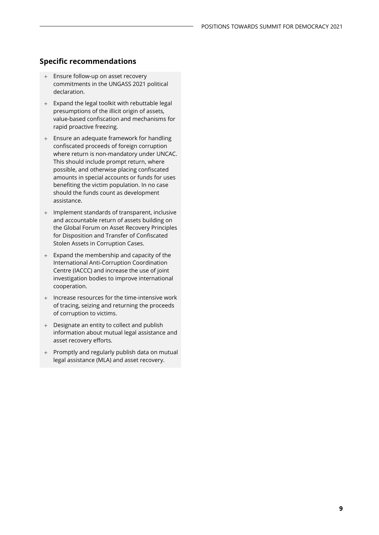- Ensure follow-up on asset recovery commitments in the UNGASS 2021 political declaration.
- + Expand the legal toolkit with rebuttable legal presumptions of the illicit origin of assets, value-based confiscation and mechanisms for rapid proactive freezing.
- + Ensure an adequate framework for handling confiscated proceeds of foreign corruption where return is non-mandatory under UNCAC. This should include prompt return, where possible, and otherwise placing confiscated amounts in special accounts or funds for uses benefiting the victim population. In no case should the funds count as development assistance.
- + Implement standards of transparent, inclusive and accountable return of assets building on the Global Forum on Asset Recovery Principles for Disposition and Transfer of Confiscated Stolen Assets in Corruption Cases.
- + Expand the membership and capacity of the International Anti-Corruption Coordination Centre (IACCC) and increase the use of joint investigation bodies to improve international cooperation.
- + Increase resources for the time-intensive work of tracing, seizing and returning the proceeds of corruption to victims.
- + Designate an entity to collect and publish information about mutual legal assistance and asset recovery efforts.
- + Promptly and regularly publish data on mutual legal assistance (MLA) and asset recovery.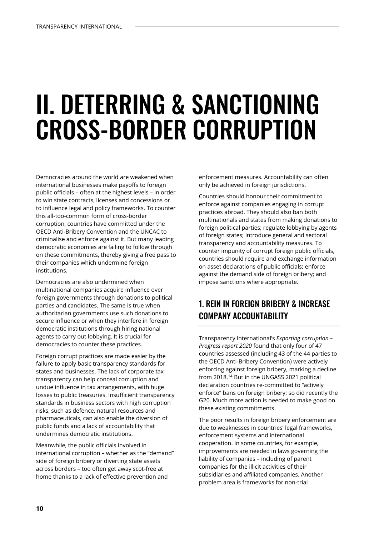## II. DETERRING & SANCTIONING CROSS-BORDER CORRUPTION

Democracies around the world are weakened when international businesses make payoffs to foreign public officials – often at the highest levels – in order to win state contracts, licenses and concessions or to influence legal and policy frameworks. To counter this all-too-common form of cross-border corruption, countries have committed under the OECD Anti-Bribery Convention and the UNCAC to criminalise and enforce against it. But many leading democratic economies are failing to follow through on these commitments, thereby giving a free pass to their companies which undermine foreign institutions.

Democracies are also undermined when multinational companies acquire influence over foreign governments through donations to political parties and candidates. The same is true when authoritarian governments use such donations to secure influence or when they interfere in foreign democratic institutions through hiring national agents to carry out lobbying. It is crucial for democracies to counter these practices.

Foreign corrupt practices are made easier by the failure to apply basic transparency standards for states and businesses. The lack of corporate tax transparency can help conceal corruption and undue influence in tax arrangements, with huge losses to public treasuries. Insufficient transparency standards in business sectors with high corruption risks, such as defence, natural resources and pharmaceuticals, can also enable the diversion of public funds and a lack of accountability that undermines democratic institutions.

Meanwhile, the public officials involved in international corruption – whether as the "demand" side of foreign bribery or diverting state assets across borders – too often get away scot-free at home thanks to a lack of effective prevention and

enforcement measures. Accountability can often only be achieved in foreign jurisdictions.

Countries should honour their commitment to enforce against companies engaging in corrupt practices abroad. They should also ban both multinationals and states from making donations to foreign political parties; regulate lobbying by agents of foreign states; introduce general and sectoral transparency and accountability measures. To counter impunity of corrupt foreign public officials, countries should require and exchange information on asset declarations of public officials; enforce against the demand side of foreign bribery; and impose sanctions where appropriate.

## 1. REIN IN FOREIGN BRIBERY & INCREASE COMPANY ACCOUNTABILITY

Transparency International's *Exporting corruption – Progress report 2020* found that only four of 47 countries assessed (including 43 of the 44 parties to the OECD Anti-Bribery Convention) were actively enforcing against foreign bribery, marking a decline from 2018.<sup>14</sup> But in the UNGASS 2021 political declaration countries re-committed to "actively enforce" bans on foreign bribery; so did recently the G20. Much more action is needed to make good on these existing commitments.

The poor results in foreign bribery enforcement are due to weaknesses in countries' legal frameworks, enforcement systems and international cooperation. In some countries, for example, improvements are needed in laws governing the liability of companies – including of parent companies for the illicit activities of their subsidiaries and affiliated companies. Another problem area is frameworks for non-trial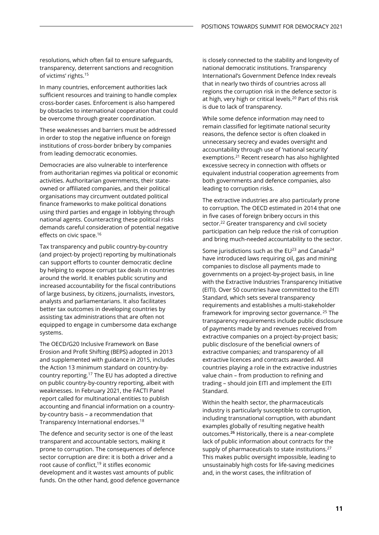resolutions, which often fail to ensure safeguards, transparency, deterrent sanctions and recognition of victims' rights.<sup>15</sup>

In many countries, enforcement authorities lack sufficient resources and training to handle complex cross-border cases. Enforcement is also hampered by obstacles to international cooperation that could be overcome through greater coordination.

These weaknesses and barriers must be addressed in order to stop the negative influence on foreign institutions of cross-border bribery by companies from leading democratic economies.

Democracies are also vulnerable to interference from authoritarian regimes via political or economic activities. Authoritarian governments, their stateowned or affiliated companies, and their political organisations may circumvent outdated political finance frameworks to make political donations using third parties and engage in lobbying through national agents. Counteracting these political risks demands careful consideration of potential negative effects on civic space.<sup>16</sup>

Tax transparency and public country-by-country (and project-by project) reporting by multinationals can support efforts to counter democratic decline by helping to expose corrupt tax deals in countries around the world. It enables public scrutiny and increased accountability for the fiscal contributions of large business, by citizens, journalists, investors, analysts and parliamentarians. It also facilitates better tax outcomes in developing countries by assisting tax administrations that are often not equipped to engage in cumbersome data exchange systems.

The OECD/G20 Inclusive Framework on Base Erosion and Profit Shifting (BEPS) adopted in 2013 and supplemented with guidance in 2015, includes the Action 13 minimum standard on country-bycountry reporting.<sup>17</sup> The EU has adopted a directive on public country-by-country reporting, albeit with weaknesses. In February 2021, the FACTI Panel report called for multinational entities to publish accounting and financial information on a countryby-country basis – a recommendation that Transparency International endorses.<sup>18</sup>

The defence and security sector is one of the least transparent and accountable sectors, making it prone to corruption. The consequences of defence sector corruption are dire: it is both a driver and a root cause of conflict,<sup>19</sup> it stifles economic development and it wastes vast amounts of public funds. On the other hand, good defence governance is closely connected to the stability and longevity of national democratic institutions. Transparency International's Government Defence Index reveals that in nearly two thirds of countries across all regions the corruption risk in the defence sector is at high, very high or critical levels.<sup>20</sup> Part of this risk is due to lack of transparency.

While some defence information may need to remain classified for legitimate national security reasons, the defence sector is often cloaked in unnecessary secrecy and evades oversight and accountability through use of 'national security' exemptions.<sup>21</sup> Recent research has also highlighted excessive secrecy in connection with offsets or equivalent industrial cooperation agreements from both governments and defence companies, also leading to corruption risks.

The extractive industries are also particularly prone to corruption. The OECD estimated in 2014 that one in five cases of foreign bribery occurs in this sector.<sup>22</sup> Greater transparency and civil society participation can help reduce the risk of corruption and bring much-needed accountability to the sector.

Some jurisdictions such as the  $EU^{23}$  and Canada<sup>24</sup> have introduced laws requiring oil, gas and mining companies to disclose all payments made to governments on a project-by-project basis, in line with the Extractive Industries Transparency Initiative (EITI). Over 50 countries have committed to the EITI Standard, which sets several transparency requirements and establishes a multi-stakeholder framework for improving sector governance. <sup>25</sup> The transparency requirements include public disclosure of payments made by and revenues received from extractive companies on a project-by-project basis; public disclosure of the beneficial owners of extractive companies; and transparency of all extractive licences and contracts awarded. All countries playing a role in the extractive industries value chain – from production to refining and trading – should join EITI and implement the EITI Standard.

Within the health sector, the pharmaceuticals industry is particularly susceptible to corruption, including transnational corruption, with abundant examples globally of resulting negative health outcomes.**<sup>26</sup>** Historically, there is a near-complete lack of public information about contracts for the supply of pharmaceuticals to state institutions.<sup>27</sup> This makes public oversight impossible, leading to unsustainably high costs for life-saving medicines and, in the worst cases, the infiltration of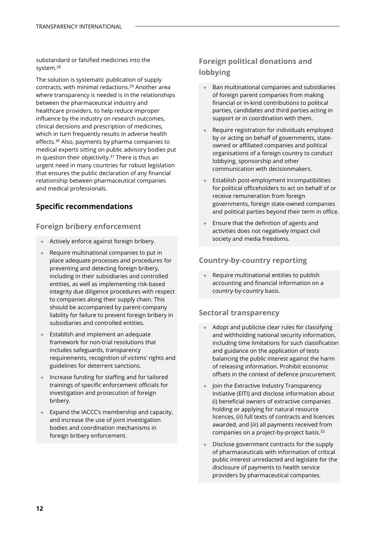substandard or falsified medicines into the system.<sup>28</sup>

The solution is systematic publication of supply contracts, with minimal redactions.<sup>29</sup> Another area where transparency is needed is in the relationships between the pharmaceutical industry and healthcare providers, to help reduce improper influence by the industry on research outcomes, clinical decisions and prescription of medicines, which in turn frequently results in adverse health effects.<sup>30</sup> Also, payments by pharma companies to medical experts sitting on public advisory bodies put in question their objectivity. $31$  There is thus an urgent need in many countries for robust legislation that ensures the public declaration of any financial relationship between pharmaceutical companies and medical professionals.

### **Specific recommendations**

#### **Foreign bribery enforcement**

- + Actively enforce against foreign bribery.
- + Require multinational companies to put in place adequate processes and procedures for preventing and detecting foreign bribery, including in their subsidiaries and controlled entities, as well as implementing risk-based integrity due diligence procedures with respect to companies along their supply chain. This should be accompanied by parent-company liability for failure to prevent foreign bribery in subsidiaries and controlled entities.
- + Establish and implement an adequate framework for non-trial resolutions that includes safeguards, transparency requirements, recognition of victims' rights and guidelines for deterrent sanctions.
- + Increase funding for staffing and for tailored trainings of specific enforcement officials for investigation and prosecution of foreign bribery.
- + Expand the IACCC's membership and capacity, and increase the use of joint investigation bodies and coordination mechanisms in foreign bribery enforcement.

## **Foreign political donations and lobbying**

- + Ban multinational companies and subsidiaries of foreign parent companies from making financial or in-kind contributions to political parties, candidates and third parties acting in support or in coordination with them.
- + Require registration for individuals employed by or acting on behalf of governments, stateowned or affiliated companies and political organisations of a foreign country to conduct lobbying, sponsorship and other communication with decisionmakers.
- + Establish post-employment incompatibilities for political officeholders to act on behalf of or receive remuneration from foreign governments, foreign state-owned companies and political parties beyond their term in office.
- + Ensure that the definition of agents and activities does not negatively impact civil society and media freedoms.

#### **Country-by-country reporting**

+ Require multinational entities to publish accounting and financial information on a country-by-country basis.

#### **Sectoral transparency**

- + Adopt and publicise clear rules for classifying and withholding national security information, including time limitations for such classification and guidance on the application of tests balancing the public interest against the harm of releasing information. Prohibit economic offsets in the context of defence procurement.
- + Join the Extractive Industry Transparency Initiative (EITI) and disclose information about (i) beneficial owners of extractive companies holding or applying for natural resource licences, (ii) full texts of contracts and licences awarded, and (iii) all payments received from companies on a project-by-project basis.<sup>32</sup>
- + Disclose government contracts for the supply of pharmaceuticals with information of critical public interest unredacted and legislate for the disclosure of payments to health service providers by pharmaceutical companies.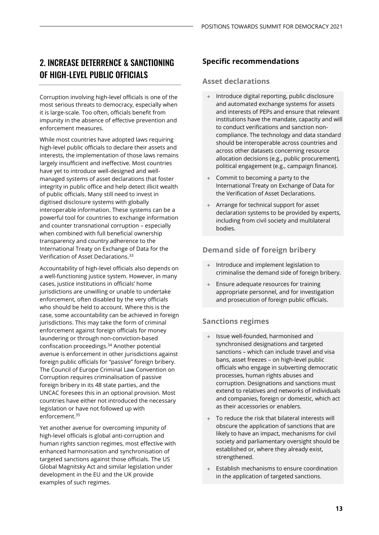## 2. INCREASE DETERRENCE & SANCTIONING OF HIGH-LEVEL PUBLIC OFFICIALS

Corruption involving high-level officials is one of the most serious threats to democracy, especially when it is large-scale. Too often, officials benefit from impunity in the absence of effective prevention and enforcement measures.

While most countries have adopted laws requiring high-level public officials to declare their assets and interests, the implementation of those laws remains largely insufficient and ineffective. Most countries have yet to introduce well-designed and wellmanaged systems of asset declarations that foster integrity in public office and help detect illicit wealth of public officials. Many still need to invest in digitised disclosure systems with globally interoperable information. These systems can be a powerful tool for countries to exchange information and counter transnational corruption – especially when combined with full beneficial ownership transparency and country adherence to the International Treaty on Exchange of Data for the Verification of Asset Declarations.<sup>33</sup>

Accountability of high-level officials also depends on a well-functioning justice system. However, in many cases, justice institutions in officials' home jurisdictions are unwilling or unable to undertake enforcement, often disabled by the very officials who should be held to account. Where this is the case, some accountability can be achieved in foreign jurisdictions. This may take the form of criminal enforcement against foreign officials for money laundering or through non-conviction-based confiscation proceedings.<sup>34</sup> Another potential avenue is enforcement in other jurisdictions against foreign public officials for "passive" foreign bribery. The Council of Europe Criminal Law Convention on Corruption requires criminalisation of passive foreign bribery in its 48 state parties, and the UNCAC foresees this in an optional provision. Most countries have either not introduced the necessary legislation or have not followed up with enforcement<sup>35</sup>

Yet another avenue for overcoming impunity of high-level officials is global anti-corruption and human rights sanction regimes, most effective with enhanced harmonisation and synchronisation of targeted sanctions against those officials. The US Global Magnitsky Act and similar legislation under development in the EU and the UK provide examples of such regimes.

## **Specific recommendations**

#### **Asset declarations**

- + Introduce digital reporting, public disclosure and automated exchange systems for assets and interests of PEPs and ensure that relevant institutions have the mandate, capacity and will to conduct verifications and sanction noncompliance. The technology and data standard should be interoperable across countries and across other datasets concerning resource allocation decisions (e.g., public procurement), political engagement (e.g., campaign finance).
- Commit to becoming a party to the International Treaty on Exchange of Data for the Verification of Asset Declarations.
- Arrange for technical support for asset declaration systems to be provided by experts, including from civil society and multilateral bodies.

### **Demand side of foreign bribery**

- + Introduce and implement legislation to criminalise the demand side of foreign bribery.
- + Ensure adequate resources for training appropriate personnel, and for investigation and prosecution of foreign public officials.

### **Sanctions regimes**

- + Issue well-founded, harmonised and synchronised designations and targeted sanctions – which can include travel and visa bans, asset freezes – on high-level public officials who engage in subverting democratic processes, human rights abuses and corruption. Designations and sanctions must extend to relatives and networks of individuals and companies, foreign or domestic, which act as their accessories or enablers.
- To reduce the risk that bilateral interests will obscure the application of sanctions that are likely to have an impact, mechanisms for civil society and parliamentary oversight should be established or, where they already exist, strengthened.
- Establish mechanisms to ensure coordination in the application of targeted sanctions.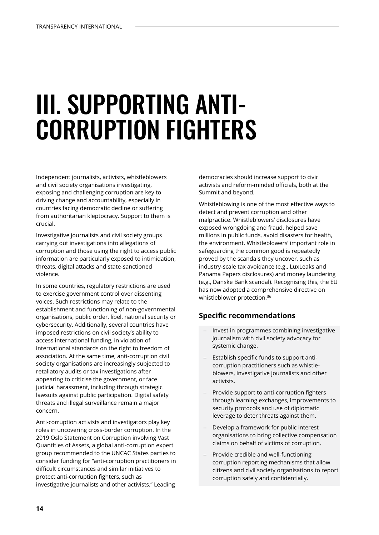## III. SUPPORTING ANTI-CORRUPTION FIGHTERS

Independent journalists, activists, whistleblowers and civil society organisations investigating, exposing and challenging corruption are key to driving change and accountability, especially in countries facing democratic decline or suffering from authoritarian kleptocracy. Support to them is crucial.

Investigative journalists and civil society groups carrying out investigations into allegations of corruption and those using the right to access public information are particularly exposed to intimidation, threats, digital attacks and state-sanctioned violence.

In some countries, regulatory restrictions are used to exercise government control over dissenting voices. Such restrictions may relate to the establishment and functioning of non-governmental organisations, public order, libel, national security or cybersecurity. Additionally, several countries have imposed restrictions on civil society's ability to access international funding, in violation of international standards on the right to freedom of association. At the same time, anti-corruption civil society organisations are increasingly subjected to retaliatory audits or tax investigations after appearing to criticise the government, or face judicial harassment, including through strategic lawsuits against public participation. Digital safety threats and illegal surveillance remain a major concern.

Anti-corruption activists and investigators play key roles in uncovering cross-border corruption. In the 2019 Oslo Statement on Corruption involving Vast Quantities of Assets, a global anti-corruption expert group recommended to the UNCAC States parties to consider funding for "anti-corruption practitioners in difficult circumstances and similar initiatives to protect anti-corruption fighters, such as investigative journalists and other activists." Leading

democracies should increase support to civic activists and reform-minded officials, both at the Summit and beyond.

Whistleblowing is one of the most effective ways to detect and prevent corruption and other malpractice. Whistleblowers' disclosures have exposed wrongdoing and fraud, helped save millions in public funds, avoid disasters for health, the environment. Whistleblowers' important role in safeguarding the common good is repeatedly proved by the scandals they uncover, such as industry-scale tax avoidance (e.g., LuxLeaks and Panama Papers disclosures) and money laundering (e.g., Danske Bank scandal). Recognising this, the EU has now adopted a comprehensive directive on whistleblower protection.<sup>36</sup>

- + Invest in programmes combining investigative journalism with civil society advocacy for systemic change.
- + Establish specific funds to support anticorruption practitioners such as whistleblowers, investigative journalists and other activists.
- + Provide support to anti-corruption fighters through learning exchanges, improvements to security protocols and use of diplomatic leverage to deter threats against them.
- + Develop a framework for public interest organisations to bring collective compensation claims on behalf of victims of corruption.
- + Provide credible and well-functioning corruption reporting mechanisms that allow citizens and civil society organisations to report corruption safely and confidentially.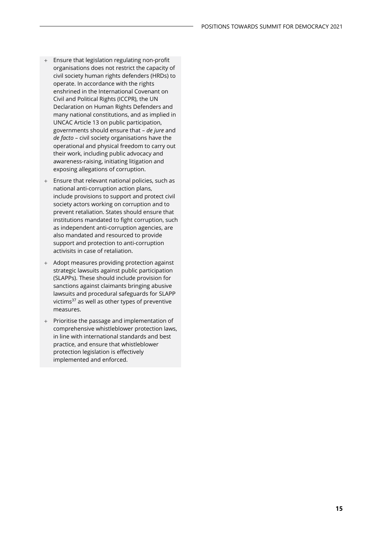- + Ensure that legislation regulating non-profit organisations does not restrict the capacity of civil society human rights defenders (HRDs) to operate. In accordance with the rights enshrined in the International Covenant on Civil and Political Rights (ICCPR), the UN Declaration on Human Rights Defenders and many national constitutions, and as implied in UNCAC Article 13 on public participation, governments should ensure that – *de jure* and *de facto* – civil society organisations have the operational and physical freedom to carry out their work, including public advocacy and awareness-raising, initiating litigation and exposing allegations of corruption.
- + Ensure that relevant national policies, such as national anti-corruption action plans, include provisions to support and protect civil society actors working on corruption and to prevent retaliation. States should ensure that institutions mandated to fight corruption, such as independent anti-corruption agencies, are also mandated and resourced to provide support and protection to anti-corruption activisits in case of retaliation.
- + Adopt measures providing protection against strategic lawsuits against public participation (SLAPPs). These should include provision for sanctions against claimants bringing abusive lawsuits and procedural safeguards for SLAPP victims<sup>37</sup> as well as other types of preventive measures.
- + Prioritise the passage and implementation of comprehensive whistleblower protection laws, in line with international standards and best practice, and ensure that whistleblower protection legislation is effectively implemented and enforced.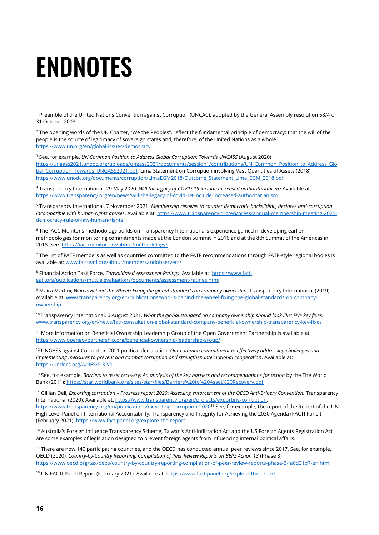# ENDNOTES

<sup>1</sup> Preamble of the United Nations Convention against Corruption (UNCAC), adopted by the General Assembly resolution 58/4 of 31 October 2003

<sup>2</sup> The opening words of the UN Charter, "We the Peoples", reflect the fundamental principle of democracy: that the will of the people is the source of legitimacy of sovereign states and, therefore, of the United Nations as a whole. <https://www.un.org/en/global-issues/democracy>

<sup>3</sup> See, for example, *UN Common Position to Address Global Corruption: Towards UNGASS* (August 2020) [https://ungass2021.unodc.org/uploads/ungass2021/documents/session1/contributions/UN\\_Common\\_Position\\_to\\_Address\\_Glo](https://ungass2021.unodc.org/uploads/ungass2021/documents/session1/contributions/UN_Common_Position_to_Address_Global_Corruption_Towards_UNGASS2021.pdf) [bal\\_Corruption\\_Towards\\_UNGASS2021.pdf;](https://ungass2021.unodc.org/uploads/ungass2021/documents/session1/contributions/UN_Common_Position_to_Address_Global_Corruption_Towards_UNGASS2021.pdf) Lima Statement on Corruption involving Vast Quantities of Assets (2018) [https://www.unodc.org/documents/corruption/LimaEGM2018/Outcome\\_Statement\\_Lima\\_EGM\\_2018.pdf](https://www.unodc.org/documents/corruption/LimaEGM2018/Outcome_Statement_Lima_EGM_2018.pdf)

**<sup>4</sup>** Transparency International, 29 May 2020. *Will the legacy of COVID-19 include increased authoritarianism?* Available at: <https://www.transparency.org/en/news/will-the-legacy-of-covid-19-include-increased-authoritarianism>

**<sup>5</sup>** Transparency International, 7 November 2021. *Membership resolves to counter democratic backsliding, declares anti-corruption incompatible with human rights abuses*. Available at: [https://www.transparency.org/en/press/annual-membership-meeting-2021](https://www.transparency.org/en/press/annual-membership-meeting-2021-democracy-rule-of-law-human-rights) [democracy-rule-of-law-human-rights](https://www.transparency.org/en/press/annual-membership-meeting-2021-democracy-rule-of-law-human-rights)

<sup>6</sup> The IACC Monitor's methodology builds on Transparency International's experience gained in developing earlier methodologies for monitoring commitments made at the London Summit in 2016 and at the 8th Summit of the Americas in 2018. See:<https://iaccmonitor.org/about/methodology/>

<sup>7</sup> The list of FATF members as well as countries committed to the FATF recommendations through FATF-style regional bodies is available at[: www.fatf-gafi.org/about/membersandobservers/](http://www.fatf-gafi.org/about/membersandobservers/)

<sup>8</sup> Financial Action Task Force, *Consolidated Assessment Ratings*. Available at: [https://www.fatf](https://www.fatf-gafi.org/publications/mutualevaluations/documents/assessment-ratings.html)[gafi.org/publications/mutualevaluations/documents/assessment-ratings.html](https://www.fatf-gafi.org/publications/mutualevaluations/documents/assessment-ratings.html)

<sup>9</sup> Maíra Martini, *Who is Behind the Wheel? Fixing the global standards on company ownership*. Transparency International (2019). Available at[: www.transparency.org/en/publications/who-is-behind-the-wheel-fixing-the-global-standards-on-company](http://www.transparency.org/en/publications/who-is-behind-the-wheel-fixing-the-global-standards-on-company-ownership)[ownership](http://www.transparency.org/en/publications/who-is-behind-the-wheel-fixing-the-global-standards-on-company-ownership)

<sup>10</sup> Transparency International, 6 August 2021. What the global standard on company ownership should look like: Five key fixes. [www.transparency.org/en/news/fatf-consultation-global-standard-company-beneficial-ownership-transparency-key-fixes](http://www.transparency.org/en/news/fatf-consultation-global-standard-company-beneficial-ownership-transparency-key-fixes)

**<sup>11</sup>** More information on Beneficial Ownership Leadership Group of the Open Government Partnership is available at: <https://www.opengovpartnership.org/beneficial-ownership-leadership-group/>

<sup>12</sup> UNGASS against Corruption 2021 political declaration, *Our common commitment to effectively addressing challenges and implementing measures to prevent and combat corruption and strengthen international cooperation*. Available at: <https://undocs.org/A/RES/S-32/1>

<sup>13</sup> See, for example, *Barriers to asset recovery: An analysis of the key barriers and recommendations for action by the The World* Bank (2011):<https://star.worldbank.org/sites/star/files/Barriers%20to%20Asset%20Recovery.pdf>

<sup>14</sup> Gillian Dell, *Exporting corruption – Progress report 2020*: *Assessing enforcement of the OECD Anti-Bribery Convention.* Transparency International (2020). Available at: [https://www.transparency.org/en/projects/exporting-corruption;](https://www.transparency.org/en/projects/exporting-corruption) <https://www.transparency.org/en/publications/exporting-corruption-2020><sup>15</sup> See, for example, the report of the Report of the UN High Level Panel on International Accountability, Transparency and Integrity for Achieving the 2030 Agenda (FACTI Panel) (February 2021)[: https://www.factipanel.org/explore-the-report](https://www.factipanel.org/explore-the-report)

<sup>16</sup> Australia's Foreign Influence Transparency Scheme, Taiwan's Anti-Infiltration Act and the US Foreign Agents Registration Act are some examples of legislation designed to prevent foreign agents from influencing internal political affairs.

<sup>17</sup> There are now 140 participating countries, and the OECD has conducted annual peer reviews since 2017. See, for example, OECD (2020), *Country-by-Country Reporting, Compilation of Peer Review Reports on BEPS Action 13* (Phase 3) <https://www.oecd.org/tax/beps/country-by-country-reporting-compilation-of-peer-review-reports-phase-3-fa6d31d7-en.htm>

<sup>18</sup> UN FACTI Panel Report (February 2021). Available at[: https://www.factipanel.org/explore-the-report](https://www.factipanel.org/explore-the-report)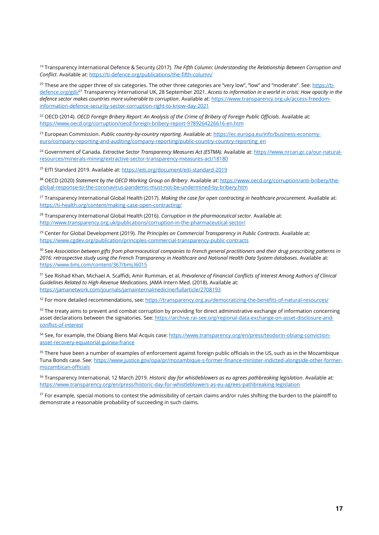<sup>19</sup> Transparency International Defence & Security (2017). *The Fifth Column: Understanding the Relationship Between Corruption and Conflict*. Available at[: https://ti-defence.org/publications/the-fifth-column/](https://ti-defence.org/publications/the-fifth-column/)

<sup>20</sup> These are the upper three of six categories. The other three categories are "very low", "low" and "moderate". See: [https://ti](https://ti-defence.org/gdi/)[defence.org/gdi/](https://ti-defence.org/gdi/)<sup>21</sup> Transparency International UK, 28 September 2021. *Access to information in a world in crisis: How opacity in the defence sector makes countries more vulnerable to corruption*. Available at[: https://www.transparency.org.uk/access-freedom](https://www.transparency.org.uk/access-freedom-information-defence-security-sector-corruption-right-to-know-day-2021)[information-defence-security-sector-corruption-right-to-know-day-2021](https://www.transparency.org.uk/access-freedom-information-defence-security-sector-corruption-right-to-know-day-2021)

<sup>22</sup> OECD (2014). *OECD Foreign Bribery Report: An Analysis of the Crime of Bribery of Foreign Public Officials. Available at:* <https://www.oecd.org/corruption/oecd-foreign-bribery-report-9789264226616-en.htm>

<sup>23</sup> European Commission. *Public country-by-country reporting.* Available at[: https://ec.europa.eu/info/business-economy](https://ec.europa.eu/info/business-economy-euro/company-reporting-and-auditing/company-reporting/public-country-country-reporting_en)[euro/company-reporting-and-auditing/company-reporting/public-country-country-reporting\\_en](https://ec.europa.eu/info/business-economy-euro/company-reporting-and-auditing/company-reporting/public-country-country-reporting_en)

<sup>24</sup> Government of Canada. *Extractive Sector Transparency Measures Act (ESTMA).* Available at[: https://www.nrcan.gc.ca/our-natural](https://www.nrcan.gc.ca/our-natural-resources/minerals-mining/extractive-sector-transparency-measures-act/18180)[resources/minerals-mining/extractive-sector-transparency-measures-act/18180](https://www.nrcan.gc.ca/our-natural-resources/minerals-mining/extractive-sector-transparency-measures-act/18180)

<sup>25</sup> EITI Standard 2019. Available at: <https://eiti.org/document/eiti-standard-2019>

**<sup>26</sup>** OECD (2020) *Statement by the OECD Working Group on Bribery*. Available at[: https://www.oecd.org/corruption/anti-bribery/the](https://www.oecd.org/corruption/anti-bribery/the-global-response-to-the-coronavirus-pandemic-must-not-be-undermined-by-bribery.htm)[global-response-to-the-coronavirus-pandemic-must-not-be-undermined-by-bribery.htm](https://www.oecd.org/corruption/anti-bribery/the-global-response-to-the-coronavirus-pandemic-must-not-be-undermined-by-bribery.htm)

<sup>27</sup> Transparency International Global Health (2017). *Making the case for open contracting in healthcare procurement.* Available at: <https://ti-health.org/content/making-case-open-contracting/>

<sup>28</sup> Transparency International Global Health (2016). *Corruption in the pharmaceutical sector*. Available at: <http://www.transparency.org.uk/publications/corruption-in-the-pharmaceutical-sector/>

<sup>29</sup> Center for Global Development (2019). *The Principles on Commercial Transparency in Public Contracts*. Available at: <https://www.cgdev.org/publication/principles-commercial-transparency-public-contracts>

<sup>30</sup> See *Association between gifts from pharmaceutical companies to French general practitioners and their drug prescribing patterns in 2016: retrospective study using the French Transparency in Healthcare and National Health Data System databases.* Available at: <https://www.bmj.com/content/367/bmj.l6015>

<sup>31</sup> See Rishad Khan, Michael A. Scaffidi, Amir Rumman, et al, *Prevalence of Financial Conflicts of Interest Among Authors of Clinical Guidelines Related to High-Revenue Medications.* JAMA Intern Med. (2018). Available at: <https://jamanetwork.com/journals/jamainternalmedicine/fullarticle/2708193>

<sup>32</sup> For more detailed recommendations, see: <https://transparency.org.au/democratizing-the-benefits-of-natural-resources/>

<sup>33</sup> The treaty aims to prevent and combat corruption by providing for direct administrative exchange of information concerning asset declarations between the signatories. See[: https://archive.rai-see.org/regional-data-exchange-on-asset-disclosure-and](https://archive.rai-see.org/regional-data-exchange-on-asset-disclosure-and-conflict-of-interest)[conflict-of-interest](https://archive.rai-see.org/regional-data-exchange-on-asset-disclosure-and-conflict-of-interest)

34 See, for example, the Obiang Biens Mal Acquis case: [https://www.transparency.org/en/press/teodorin-obiang-conviction](https://www.transparency.org/en/press/teodorin-obiang-conviction-asset-recovery-equatorial-guinea-france)[asset-recovery-equatorial-guinea-france](https://www.transparency.org/en/press/teodorin-obiang-conviction-asset-recovery-equatorial-guinea-france)

<sup>35</sup> There have been a number of examples of enforcement against foreign public officials in the US, such as in the Mozambique Tuna Bonds case. See: [https://www.justice.gov/opa/pr/mozambique-s-former-finance-minister-indicted-alongside-other-former](https://www.justice.gov/opa/pr/mozambique-s-former-finance-minister-indicted-alongside-other-former-mozambican-officials)[mozambican-officials](https://www.justice.gov/opa/pr/mozambique-s-former-finance-minister-indicted-alongside-other-former-mozambican-officials)

<sup>36</sup> Transparency International, 12 March 2019. *Historic day for whistleblowers as eu agrees pathbreaking legislation*. Available at: <https://www.transparency.org/en/press/historic-day-for-whistleblowers-as-eu-agrees-pathbreaking-legislation>

 $37$  For example, special motions to contest the admissibility of certain claims and/or rules shifting the burden to the plaintiff to demonstrate a reasonable probability of succeeding in such claims.